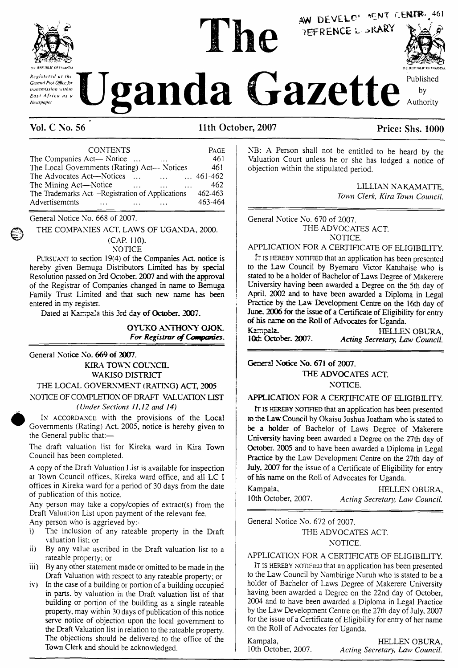

*Genera! Post Officefor transmission within East Africa as <sup>a</sup> Newspaper*

*Registered at the*

# **Uganda Gazette**

The

**Vol. C No. 56 11th October, 2007 Price: Shs. 1000**

| <b>CONTENTS</b>                                 |   |                      | PAGE              |
|-------------------------------------------------|---|----------------------|-------------------|
| The Companies Act-Notice                        |   |                      | 461               |
| The Local Governments (Rating) Act— Notices     |   |                      | 461               |
| The Advocates Act-Notices                       |   | $\sim$ $\sim$ $\sim$ | $\dots 461 - 462$ |
| The Mining Act—Notice                           | . |                      | 462               |
| The Trademarks Act-Registration of Applications |   |                      | 462-463           |
| Advertisements                                  |   |                      | 463-464           |
|                                                 |   |                      |                   |

General Notice No. 668 of 2007.

THE COMPANIES ACT, LAWS OF UGANDA, 2000.

(CAP. 110). **NOTICE** 

PURSUANT to section 19(4) of the Companies Act, notice is hereby given Bemuga Distributors Limited has by special Resolution passed on 3rd October. 2007 and with the approval of the Registrar of Companies changed in name to Bemuga Family Trust Limited and that such new name has been entered in my register.

Dated at Kampala this 3rd **day of October.** 2007. <sup>|</sup>

**OYUKO ANTHONY OJOK.** <sup>j</sup> *For Registrar of Companies.* 

**General Notice No. 669 of 2007.**

### **KIRA TOWN COUNCIL WAKISO DISTRICT THE LOCAL GOVERNMENT (RATING) ACT, 2005** NOTICE OF COMPLETION OF DRAFT **VALUATION LIST** *(Under Sections 11,12 and 14)*

lx accordance with the provisions of the Local Governments (Rating) Act. 2005, notice is hereby given to the General public that:—

The draft valuation list for Kireka ward in Kira Town Council has been completed.

A copy of the Draft Valuation List is available for inspection at Town Council offices, Kireka ward office, and all LC I offices in Kireka ward for a period of 30 days from the date of publication of this notice.

Any person may take a copy/copies of extract(s) from the Draft Valuation List upon payment of the relevant fee.

Any person who is aggrieved by:-

- i) The inclusion of any rateable property in the Draft valuation list: or
- ii) By any value ascribed in the Draft valuation list to a rateable property; or
- iii) By any other statement made or omitted to be made in the Draft Valuation with respect to any rateable property; or
- iv) In the case of a building or portion of a building occupied in parts, by valuation in the Draft valuation list of that building or portion of the building as a single rateable property, may within 30 days of publication of this notice serve notice of objection upon the local government to the Draft Valuation list in relation to the rateable property. The objections should be delivered to the office of the **Town** Clerk and should be acknowledged.

NB: A Person shall not be entitled to be heard by the Valuation Court unless he or she has lodged a notice of objection within the stipulated period.

**1EFRENCE «- ->KARY**

LILLIAN NAKAMATTE, *Town Clerk, Kira Town Council.*

General Notice No. 670 of 2007. THE ADVOCATES ACT. NOTICE.

APPLICATION FOR A CERTIFICATE OF ELIGIBILITY.

It is HEREBY NOTIFIED that an application has been presented to the Law Council by Byemaro Victor Katuhaise who is stated to be a holder of Bachelor of Laws Degree of Makerere University having been awarded a Degree on the 5th day of April. 2002 and to have been awarded a Diploma in Legal Practice by the Law Development Centre on the 16th day of June. **2006 for** the issue of a Certificate of Eligibility for entry **of** his came **on** the Roll of Advocates for Uganda.

**Kampala. HELLEN** OBURA, **IQth** October. 2007. *Acting Secretary. Law Council* **<sup>I</sup>(kb October. 2007.** *Acting Secretary, Law Council.*

**General Notice No. 671 of 2007. THE ADVOCATES ACT. NOTICE.**

### **APPLICATION FOR A CERTIFICATE OF ELIGIBILITY.**

It is HEREBY NOTIFIED that an application has been presented **to** the **Law Council** by Okaisu Joshua Joatham who is stated to **be** a holder of Bachelor of Laws Degree of Makerere University having been awarded a Degree on the 27th day of **October. 2005** and to have been awarded a Diploma in Legal **Practice by the** Law Development Centre on the 27th day of **July, 2007 for** the issue of a Certificate of Eligibility for entry **of his** name on the Roll of Advocates for Uganda.

Kampala, **HELLEN OBURA**, 10th October, 2007. *Acting Secretary', Law Council.*

General Notice No. 672 of 2007.

THE ADVOCATES ACT. NOTICE.

APPLICATION FOR A CERTIFICATE OF ELIGIBILITY.

IT IS HEREBY NOTIFIED that an application has been presented to the Law Council by Nambirige Nuruh who is stated to be a holder of Bachelor of Laws Degree of Makerere University having been awarded a Degree on the 22nd day of October, 2004 and to have been awarded a Diploma in Legal Practice by the Law Development Centre on the 27th day of July, 2007 for the issue of a Certificate of Eligibility for entry of her name on the Roll of Advocates for Uganda.

Kampala, HELLEN OBURA, 10th October, 2007. Acting Secretary, Law Council. 10th October, 2007. *Acting Secretary', Law Council.*



Published by Authority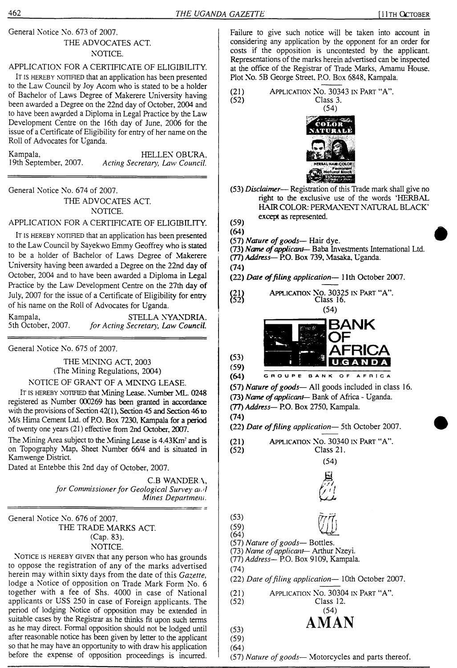General Notice No. 673 of 2007.

### THE ADVOCATES ACT. NOTICE.

### APPLICATION FOR A CERTIFICATE OF ELIGIBILITY.

IT IS HEREBY NOTIFIED that an application has been presented to the Law Council by Joy Acom who is stated to be a holder of Bachelor of Laws Degree of Makerere University having been awarded a Degree on the 22nd day of October, 2004 and to have been awarded a Diploma in Legal Practice by the Law Development Centre on the 16th day of June, 2006 for the issue of a Certificate of Eligibility for entry of her name on the Roll of Advocates for Uganda.

| Kampala,              |           |
|-----------------------|-----------|
| 19th September, 2007. | Acting Se |

HELLEN OBURA. 19th September, 2007. *Acting Secretary, Law Council.*

General Notice No. 674 of 2007.

THE ADVOCATES ACT. NOTICE.

### APPLICATION FOR A CERTIFICATE OF ELIGIBILITY.

IT IS HEREBY NOTIFIED that an application has been presented to the Law Council by Sayekwo Emmy Geoffrey who is stated to be a holder of Bachelor of Laws Degree of Makerere University having been awarded a Degree on the 22nd day of October, 2004 and to have been awarded a Diploma in Legal Practice by the Law Development Centre on the 27th day of July, 2007 for the issue of a Certificate of Eligibility for entry of his name on the Roll of Advocates for Uganda.

| Kampala,           | STELLA NYANDRIA.                   |
|--------------------|------------------------------------|
| 5th October, 2007. | for Acting Secretary, Law Council. |

General Notice No. 675 of 2007.

THE MINING ACT, 2003 (The Mining Regulations, 2004)

### NOTICE OF GRANT OF A MINING LEASE.

It is HEREBY NOTIFIED that Mining Lease. Number ML. 0248 registered as Number 000269 has been granted in accordance with the provisions of Section 42(1), Section 45 and Section 46 to M/s Hima Cement Ltd. of P.O. Box 7230, Kampala for a period of twenty one years (21) effective from 2nd October, 2007.

The Mining Area subject to the Mining Lease is 4.43Km<sup>2</sup> and is on Topography Map, Sheet Number 66/4 and is situated in Kamwenge District.

Dated at Entebbe this 2nd day of October, 2007.

C.B WANDERA,

*for Commissionerfor Geological Survey and Mines Department.*

General Notice No. 676 of 2007. THE TRADE MARKS ACT. (Cap. 83). NOTICE.

NOTICE IS HEREBY GIVEN that any person who has grounds to oppose the registration of any of the marks advertised herein may within sixty days from the date of this *Gazette,* lodge a Notice of opposition on Trade Mark Form No. 6 together with a fee of Shs. 4000 in case of National applicants or USS 250 in case of Foreign applicants. The period of lodging Notice of opposition may be extended in suitable cases by the Registrar as he thinks fit upon such terms as he may direct. Formal opposition should not be lodged until after reasonable notice has been given by letter to the applicant so that he may have an opportunity to with draw his application before the expense of opposition proceedings is incurred.

Failure to give such notice will be taken into account in considering any application by the opponent for an order for costs if the opposition is uncontested by the applicant. Representations of the marks herein advertised can be inspected at the office of the Registrar of Trade Marks, Amamu House. Plot No. 5B George Street, P.O. Box 6848, Kampala.

(21) APPLICATION NO. 30343 IN PART "A".<br>(52) Class 3. Class 3.



- (53) *Disclaimer* Registration of this Trade mark shall give no right to the exclusive use of the words 'HERBAL HAIR COLOR: PERMANENT NATURAL BLACK' **(59)** except as represented.
- (64)
- (57) *Nature ofgoods—* Hair dye.
- (73) *Name ofapplicant—* Baba Investments International Ltd.
- (77) *Address* P.O. Box 739, Masaka, Uganda.
- (74)
- (22) *Date offiling application—* 11th October 2007.
- 21) Application No. 30325 in Part "A". Class 16.



- 
- (57) *Nature ofgoods* All goods included in class 16.
- (73) *Name ofapplicant—* Bank of Africa Uganda.
- (77) *Address* P.O. Box 2750, Kampala. (74)
- (22) *Date offiling application—* 5th October 2007.
- (21) Application No. 30340 in Part "A".
- Class 21.
	- (54)



- (53)
- (59) (64)
- (57) *Nature ofgoods—* Bottles.
- (73) *Name ofapplicant—* Arthur Nzeyi.
- (77) *Address* P.O. Box 9109, Kampala.
- (74)
- (22) *Date offiling application—* 10th October 2007.
- (21) Application No. 30304 in Part "A". Class 12.
	-

# (54)  $\bf$ **AMAN**

(59)

(64)

(57) *Nature ofgoods—* Motorcycles and parts thereof.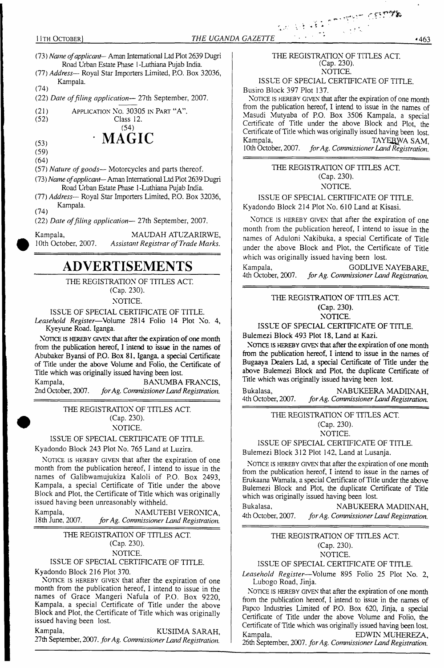- THE UGANDA GAZETTE<br>
11TH OCTOBER]<br>
THE UGANDA GAZETTE<br>
1463<br>
13) Name of applicant— Aman International Ltd Plot 2639 Dugri<br>
Road Urban Estate Phase 1-Luthiana Pujab India.<br>
171) Address— Royal Star Importers Limited, P.O. (73) *Name ofapplicant—* Aman International Ltd Plot 2639 Dugri Road Urban Estate Phase <sup>1</sup> -Luthiana Pujab India.
- (77) *Address—* Royal Star Importers Limited, P.O. Box 32036, Kampala.

Class 12. (54)

- (74)
- (22) *Date offiling application—* 27th September, 2007.
- (21) APPLICATION No.  $30305$  in Part "A".<br>(52) Class 12.
	-
- $M \stackrel{\sim}{\phantom{}_{}} \stackrel{\sim}{\phantom{}_{}} \stackrel{\sim}{\phantom{}_{}} \stackrel{\sim}{\phantom{} M \stackrel{\sim}{\phantom{}_{}}}} \stackrel{\sim}{\phantom{}_{}} \stackrel{\sim}{\phantom{}_{}} \stackrel{\sim}{\phantom{}_{}} \stackrel{\sim}{\phantom{}_{}} \stackrel{\sim}{\phantom{}_{}} \stackrel{\sim}{\phantom{}_{}} \stackrel{\sim}{\phantom{}_{}} \stackrel{\sim}{\phantom{} \phantom{} \ 1}$

- (59)
- (64)

(57) *Nature ofgoods—* Motorcycles and parts thereof.

(73) *Name ofapplicant—* Aman International Ltd Plot 2639 Dugri Road Urban Estate Phase 1-Luthiana Pujab India.

(77) *Address—* Royal Star Importers Limited, P.O. Box 32036, Kampala. (74)

(22) *Date offiling application—* 27th September, 2007.

Kampala, MAUDAH ATUZARIRWE,<br>10th October, 2007. Assistant Registrar of Trade Marks. <sup>1</sup> Oth October, 2007. *Assistant Registrar ofTrade Marks.*

# **ADVERTISEMENTS**

THE REGISTRATION OF TITLES ACT.

(Cap. 230). NOTICE.

ISSUE OF SPECIAL CERTIFICATE OF TITLE.

*Leasehold Register*—Volume 2814 Folio 14 Plot No. 4, Kyeyune Road. Iganga.

NOTICE IS HEREBY GIVEN that after the expiration of one month from the publication hereof, I intend to issue in the names of Abubaker Byansi of P.O. Box 81, Iganga, a special Certificate of Title under the above Volume and Folio, the Certificate of Title which was originally issued having been lost.

Kampala, BANUMBA FRANCIS,<br>2nd October, 2007. for Ag. Commissioner Land Registration. 2nd October, 2007. *forAg. CommissionerLand Registration.*

### THE REGISTRATION OF TITLES ACT. (Cap. 230). NOTICE.

### ISSUE OF SPECIAL CERTIFICATE OF TITLE.

Kyadondo Block 243 Plot No. 765 Land at Luzira.

NOTICE IS HEREBY GIVEN that after the expiration of one month from the publication hereof, I intend to issue in the names of Galibwamujukiza Kaloli of P.O. Box 2493, Kampala, a special Certificate of Title under the above Block and Plot, the Certificate of Title which was originally issued having been unreasonably withheld.

Kampala, NAMUTEBI VERONICA, 18th June, 2007. for Ag. Commissioner Land Registration. 18th June, 2007. *forAg. Commissioner Land Registration.*

### THE REGISTRATION OF TITLES ACT. (Cap. 230). NOTICE.

### ISSUE OF SPECIAL CERTIFICATE OF TITLE.

Kyadondo Block 216 Plot 370.

NOTICE IS HEREBY GIVEN that after the expiration of one month from the publication hereof, I intend to issue in the names of Grace Mangeri Nafula of P.O. Box 9220, Kampala, a special Certificate of Title under the above Block and Plot, the Certificate of Title which was originally issued having been lost.

Kampala, KUSIIMA SARAH, 27th September, 2007. *forAg. Commissioner Land Registration.*

### THE REGISTRATION OF TITLES ACT. (Cap. 230). NOTICE.

ISSUE OF SPECIAL CERTIFICATE OF TITLE.

Busiro Block 397 Plot 137.

NOTICE IS HEREBY GIVEN that after the expiration of one month from the publication hereof, I intend to issue in the names of Masudi Mutyaba of P.O. Box 3506 Kampala, a special Certificate of Title under the above Block and Plot, the Certificate of Title which was originally issued having been lost.<br>Kampala, TAYEBWA SAM Kampala, TAYERWA SAM, TAYERWA SAM, TANG PERANG TARK TERMA SAM, TABLE 10th October, 2007. <sup>1</sup> Oth October, 2007. *forAg. Commissioner Land Registration.*

### THE REGISTRATION OF TITLES ACT. (Cap. 230). NOTICE.

ISSUE OF SPECIAL CERTIFICATE OF TITLE. Kyadondo Block 214 Plot No. 610 Land at Kisasi.

NOTICE IS HEREBY GIVEN that after the expiration of one month from the publication hereof, I intend to issue in the names of Aduloni Nakibuka, a special Certificate of Title under the above Block and Plot, the Certificate of Title which was originally issued having been lost.

Kampala, GODLIVE NAYEBARE,<br>4th October, 2007. for Ag. Commissioner Land Registration. 4th October, 2007. *forAg. Commissioner Land Registration.*

### THE REGISTRATION OF TITLES ACT. (Cap. 230).

NOTICE.

ISSUE OF SPECIAL CERTIFICATE OF TITLE.

Bulemezi Block 493 Plot 18, Land at Kazi.

NOTICE IS HEREBY GIVEN that after the expiration of one month from the publication hereof, I intend to issue in the names of Bugaaya Dealers Ltd, a special Certificate of Title under the above Bulemezi Block and Plot, the duplicate Certificate of Title which was originally issued having been lost.

Bukalasa, NABUKEERA MADIINAH,<br>4th October, 2007. for Ag. Commissioner Land Registration. 4th October, 2007. *forAg. CommissionerLand Registration.*

THE REGISTRATION OF TITLES ACT.

(Cap. 230).

NOTICE.

ISSUE OF SPECIAL CERTIFICATE OF TITLE.

Bulemezi Block 312 Plot 142, Land at Lusanja.

NOTICE IS HEREBY GIVEN that after the expiration of one month from the publication hereof, I intend to issue in the names of Erukaana Wamala, a special Certificate of Title under the above Bulemezi Block and Plot, the duplicate Certificate of Title which was originally issued having been lost.

Bukalasa, NABUKEERA MADIINAH, 4th October, 2007. *forAg. CommissionerLand Registration.*

### THE REGISTRATION OF TITLES ACT. (Cap. 230).

NOTICE.

### ISSUE OF SPECIAL CERTIFICATE OF TITLE.

*Leasehold Register*—Volume 895 Folio 25 Plot No. 2, Lubogo Road, Jinja.

NOTICE IS HEREBY GIVEN that after the expiration of one month from the publication hereof, I intend to issue in the names of Papco Industries Limited of P.O. Box 620, Jinja, a special Certificate of Title under the above Volume and Folio, the Certificate of Title which was originally issued having been lost. Kampala, EDWIN MUHEREZA, 26th September, 2007. *forAg. Commissioner Land Registration.*